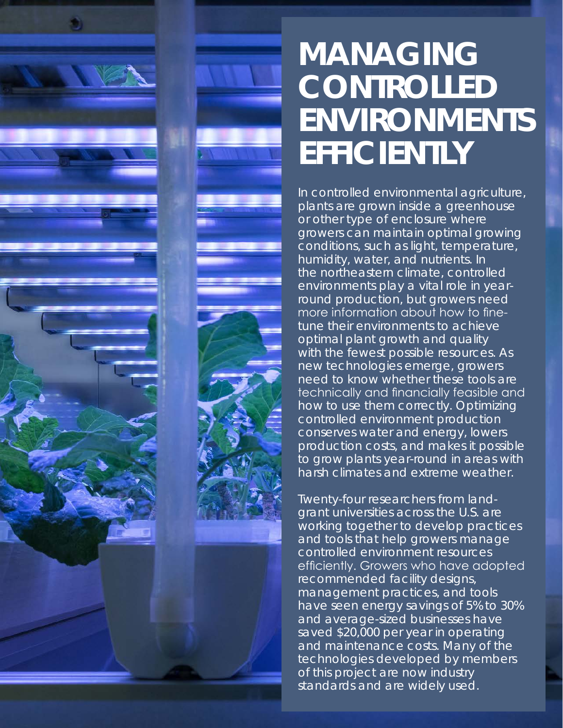

In controlled environmental agriculture, plants are grown inside a greenhouse or other type of enclosure where growers can maintain optimal growing conditions, such as light, temperature, humidity, water, and nutrients. In the northeastern climate, controlled environments play a vital role in yearround production, but growers need more information about how to finetune their environments to achieve optimal plant growth and quality with the fewest possible resources. As new technologies emerge, growers need to know whether these tools are technically and financially feasible and how to use them correctly. Optimizing controlled environment production conserves water and energy, lowers production costs, and makes it possible to grow plants year-round in areas with harsh climates and extreme weather.

Twenty-four researchers from landgrant universities across the U.S. are working together to develop practices and tools that help growers manage controlled environment resources efficiently. Growers who have adopted recommended facility designs, management practices, and tools have seen energy savings of 5% to 30% and average-sized businesses have saved \$20,000 per year in operating and maintenance costs. Many of the technologies developed by members of this project are now industry standards and are widely used.